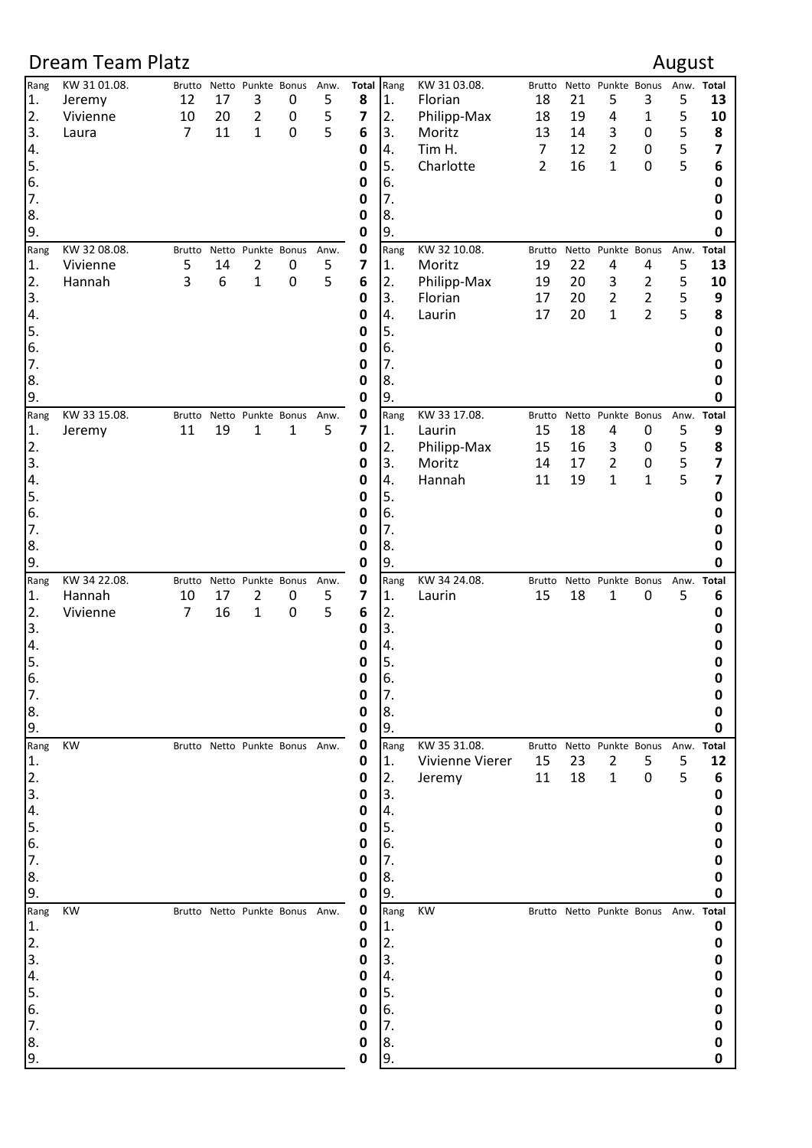## Dream Team Platz **August Contract August Contract August August** Rang KW 31 01.08. Brutto Netto Punkte Bonus Anw. **Total** Rang KW 31 03.08. Brutto Netto Punkte Bonus Anw. **Total** 1. Jeremy 12 17 3 0 5 **8** 1. Florian 18 21 5 3 5 **13** 2. Vivienne 10 20 2 0 5 **7** 2. Philipp-Max 18 19 4 1 5 **10** 3. Laura 7 11 1 0 5 **6** 3. Moritz 13 14 3 0 5 **8** 4. **0** 4. Tim H. 7 12 2 0 5 **7** 5. **0** 5. Charlotte 2 16 1 0 5 **6 0**  $\begin{bmatrix} 6. & 0 \end{bmatrix}$  6. **0** 7. **0** 7. **0** 8. **0** 8. **0** 8. 9. **0** 9. **0** Rang KW 32 08.08. Brutto Netto Punkte Bonus Anw. **0** Rang KW 32 10.08. Brutto Netto Punkte Bonus Anw. **Total** 1. Vivienne 5 14 2 0 5 **7** 1. Moritz 19 22 4 4 5 **13** 2. Hannah 3 6 1 0 5 **6** 2. Philipp-Max 19 20 3 2 5 **10** 3. **0** 3. Florian 17 20 2 2 5 **9** 4. **0** 4. Laurin 17 20 1 2 5 **8** 5. **0** 5. **0** 6. **0** 6. **0** 7. **0** 7. **0** 8. **0** 8. **0** 8. 9. **0** 9. **0** Rang KW 33 15.08. Brutto Netto Punkte Bonus Anw. **0** Rang KW 33 17.08. Brutto Netto Punkte Bonus Anw. **Total** 1. Jeremy 11 19 1 1 5 **7** 1. Laurin 15 18 4 0 5 **9** 2. **0** 2. Philipp-Max 15 16 3 0 5 **8** 3. **0** 3. Moritz 14 17 2 0 5 **7** 4. **0** 4. Hannah 11 19 1 1 5 **7** 5. **0** 5. **0** 6. **0** 6. **0** 7. **0** 7. **0** 8. **0** 8. **0** 8. 9. **0** 9. **0** Rang KW 34 22.08. Brutto Netto Punkte Bonus Anw. **0** Rang KW 34 24.08. Brutto Netto Punkte Bonus Anw. **Total** 1. Hannah 10 17 2 0 5 **7** 1. Laurin 15 18 1 0 5 **6** 2. Vivienne 7 16 1 0 5 **6** 2. **0** 3. **0**  $\begin{bmatrix} 3. \end{bmatrix}$ 4. **0** 4. **0** 5. **0** 5. **0** 6. **0** 6. **0** 7. **0** 7. **0** 8. **0** 8. **0** 8. 9. **0** 9. **0** Rang KW Brutto Netto Punkte Bonus Anw. **0** Rang KW 35 31.08. Brutto Netto Punkte Bonus Anw. **Total** 1. **0** 1. Vivienne Vierer 15 23 2 5 5 **12** 2. **0** 2. Jeremy 11 18 1 0 5 **6** 3. **0**  $\begin{bmatrix} 3. \end{bmatrix}$ 4. **0** 4. **0** 5. **0** 5. **0 0**  $\begin{bmatrix} 6. & 0 \end{bmatrix}$  6. **0** 7. **0** 7. **0** 8. **0** 8. **0** 8. 9. **0** 9. **0** Rang KW Brutto Netto Punkte Bonus Anw. **0** Rang KW Brutto Netto Punkte Bonus Anw. **Total** 1. **0** 1. **0** 2. **0** 2. **0** 3. **0**  $\begin{bmatrix} 3. \end{bmatrix}$ 4. **0** 4. **0** 5. **0** 5. **0** 6. **0** 6. **0** 7. **0** 7. **0** 8. **0** 8. **0** 8.

9. **0** 9. **0**